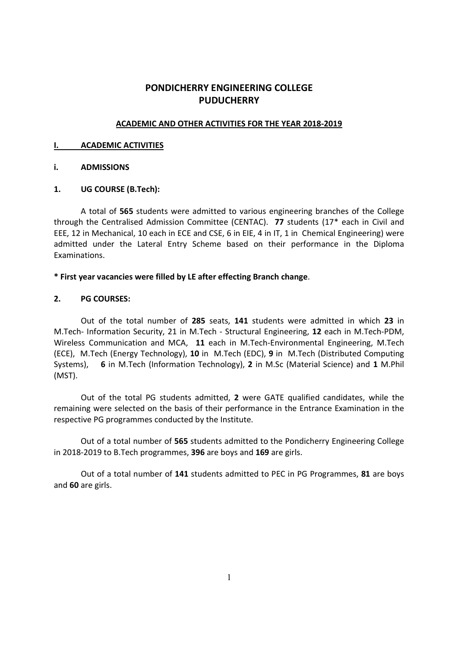# PONDICHERRY ENGINEERING COLLEGE **PUDUCHERRY**

# ACADEMIC AND OTHER ACTIVITIES FOR THE YEAR 2018-2019

#### I. ACADEMIC ACTIVITIES

## i. ADMISSIONS

# 1. UG COURSE (B.Tech):

 A total of 565 students were admitted to various engineering branches of the College through the Centralised Admission Committee (CENTAC). 77 students (17\* each in Civil and EEE, 12 in Mechanical, 10 each in ECE and CSE, 6 in EIE, 4 in IT, 1 in Chemical Engineering) were admitted under the Lateral Entry Scheme based on their performance in the Diploma Examinations.

## \* First year vacancies were filled by LE after effecting Branch change.

## 2. PG COURSES:

Out of the total number of 285 seats, 141 students were admitted in which 23 in M.Tech- Information Security, 21 in M.Tech - Structural Engineering, 12 each in M.Tech-PDM, Wireless Communication and MCA, 11 each in M.Tech-Environmental Engineering, M.Tech (ECE), M.Tech (Energy Technology), 10 in M.Tech (EDC), 9 in M.Tech (Distributed Computing Systems), 6 in M.Tech (Information Technology), 2 in M.Sc (Material Science) and 1 M.Phil (MST).

 Out of the total PG students admitted, 2 were GATE qualified candidates, while the remaining were selected on the basis of their performance in the Entrance Examination in the respective PG programmes conducted by the Institute.

 Out of a total number of 565 students admitted to the Pondicherry Engineering College in 2018-2019 to B.Tech programmes, 396 are boys and 169 are girls.

Out of a total number of 141 students admitted to PEC in PG Programmes, 81 are boys and 60 are girls.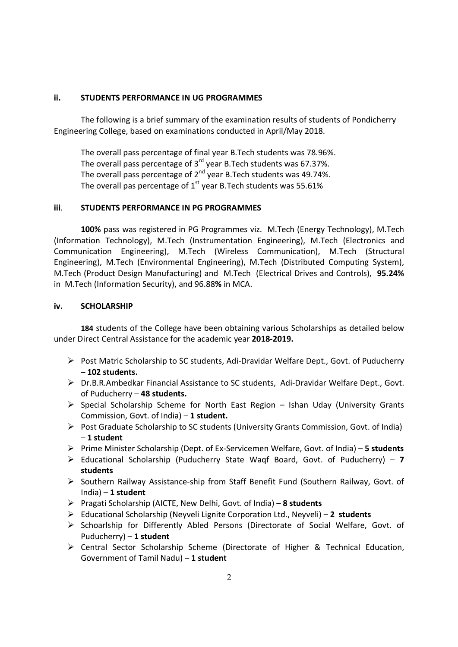#### ii. STUDENTS PERFORMANCE IN UG PROGRAMMES

 The following is a brief summary of the examination results of students of Pondicherry Engineering College, based on examinations conducted in April/May 2018.

 The overall pass percentage of final year B.Tech students was 78.96%. The overall pass percentage of 3<sup>rd</sup> year B.Tech students was 67.37%. The overall pass percentage of  $2^{nd}$  year B.Tech students was 49.74%. The overall pas percentage of  $1<sup>st</sup>$  year B. Tech students was 55.61%

## iii. STUDENTS PERFORMANCE IN PG PROGRAMMES

100% pass was registered in PG Programmes viz. M.Tech (Energy Technology), M.Tech (Information Technology), M.Tech (Instrumentation Engineering), M.Tech (Electronics and Communication Engineering), M.Tech (Wireless Communication), M.Tech (Structural Engineering), M.Tech (Environmental Engineering), M.Tech (Distributed Computing System), M.Tech (Product Design Manufacturing) and M.Tech (Electrical Drives and Controls), 95.24% in M.Tech (Information Security), and 96.88% in MCA.

## iv. SCHOLARSHIP

184 students of the College have been obtaining various Scholarships as detailed below under Direct Central Assistance for the academic year 2018-2019.

- $\triangleright$  Post Matric Scholarship to SC students, Adi-Dravidar Welfare Dept., Govt. of Puducherry – 102 students.
- Dr.B.R.Ambedkar Financial Assistance to SC students, Adi-Dravidar Welfare Dept., Govt. of Puducherry – 48 students.
- $\triangleright$  Special Scholarship Scheme for North East Region Ishan Uday (University Grants Commission, Govt. of India)  $-1$  student.
- Post Graduate Scholarship to SC students (University Grants Commission, Govt. of India) – 1 student
- ▶ Prime Minister Scholarship (Dept. of Ex-Servicemen Welfare, Govt. of India) 5 students
- $\triangleright$  Educational Scholarship (Puducherry State Waqf Board, Govt. of Puducherry) 7 students
- $\triangleright$  Southern Railway Assistance-ship from Staff Benefit Fund (Southern Railway, Govt. of  $India - 1 student$
- Pragati Scholarship (AICTE, New Delhi, Govt. of India) 8 students
- $\triangleright$  Educational Scholarship (Neyveli Lignite Corporation Ltd., Neyveli) 2 students
- Schoarlship for Differently Abled Persons (Directorate of Social Welfare, Govt. of Puducherry) – 1 student
- Central Sector Scholarship Scheme (Directorate of Higher & Technical Education, Government of Tamil Nadu)  $-1$  student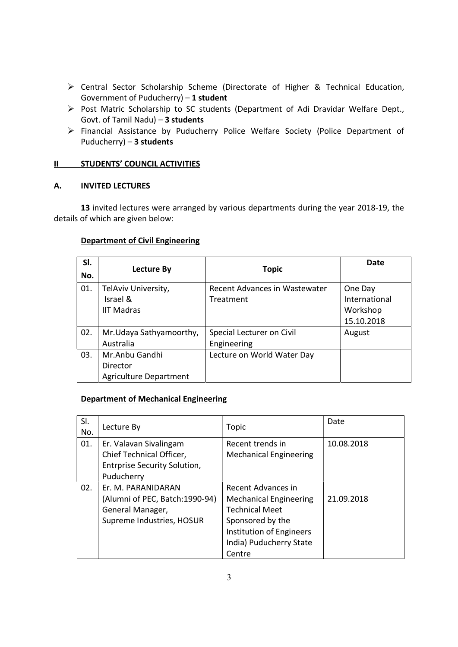- Central Sector Scholarship Scheme (Directorate of Higher & Technical Education, Government of Puducherry) – 1 student
- Post Matric Scholarship to SC students (Department of Adi Dravidar Welfare Dept., Govt. of Tamil Nadu) – 3 students
- Financial Assistance by Puducherry Police Welfare Society (Police Department of Puducherry) – 3 students

# II STUDENTS' COUNCIL ACTIVITIES

# A. INVITED LECTURES

 13 invited lectures were arranged by various departments during the year 2018-19, the details of which are given below:

# Department of Civil Engineering

| SI.<br>No. | <b>Lecture By</b>                                           | <b>Topic</b>                               | <b>Date</b>                                        |
|------------|-------------------------------------------------------------|--------------------------------------------|----------------------------------------------------|
| 01.        | TelAviv University,<br>Israel &<br><b>IIT Madras</b>        | Recent Advances in Wastewater<br>Treatment | One Day<br>International<br>Workshop<br>15.10.2018 |
| 02.        | Mr. Udaya Sathyamoorthy,<br>Australia                       | Special Lecturer on Civil<br>Engineering   | August                                             |
| 03.        | Mr.Anbu Gandhi<br>Director<br><b>Agriculture Department</b> | Lecture on World Water Day                 |                                                    |

# Department of Mechanical Engineering

| SI.<br>No. | Lecture By                                                                                              | Topic                                                                                                                                                                    | Date       |
|------------|---------------------------------------------------------------------------------------------------------|--------------------------------------------------------------------------------------------------------------------------------------------------------------------------|------------|
| 01.        | Er. Valavan Sivalingam<br>Chief Technical Officer,<br><b>Entrprise Security Solution,</b><br>Puducherry | Recent trends in<br><b>Mechanical Engineering</b>                                                                                                                        | 10.08.2018 |
| 02.        | Er. M. PARANIDARAN<br>(Alumni of PEC, Batch:1990-94)<br>General Manager,<br>Supreme Industries, HOSUR   | Recent Advances in<br><b>Mechanical Engineering</b><br><b>Technical Meet</b><br>Sponsored by the<br><b>Institution of Engineers</b><br>India) Puducherry State<br>Centre | 21.09.2018 |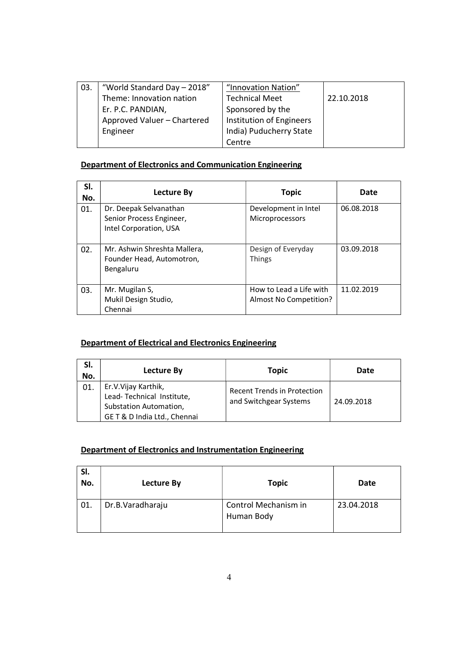| 03. | "World Standard Day - 2018" | "Innovation Nation"      |            |
|-----|-----------------------------|--------------------------|------------|
|     | Theme: Innovation nation    | <b>Technical Meet</b>    | 22.10.2018 |
|     | Er. P.C. PANDIAN,           | Sponsored by the         |            |
|     | Approved Valuer - Chartered | Institution of Engineers |            |
|     | Engineer                    | India) Puducherry State  |            |
|     |                             | Centre                   |            |

# Department of Electronics and Communication Engineering

| SI.<br>No. | Lecture By                                                             | <b>Topic</b>                                      | Date       |
|------------|------------------------------------------------------------------------|---------------------------------------------------|------------|
| 01.        | Dr. Deepak Selvanathan<br>Senior Process Engineer,                     | Development in Intel<br>Microprocessors           | 06.08.2018 |
|            | Intel Corporation, USA                                                 |                                                   |            |
| 02.        | Mr. Ashwin Shreshta Mallera,<br>Founder Head, Automotron,<br>Bengaluru | Design of Everyday<br><b>Things</b>               | 03.09.2018 |
| 03.        | Mr. Mugilan S,<br>Mukil Design Studio,<br>Chennai                      | How to Lead a Life with<br>Almost No Competition? | 11.02.2019 |

# Department of Electrical and Electronics Engineering

| SI.<br>No. | Lecture By                                                                                                | Topic                                                        | Date       |
|------------|-----------------------------------------------------------------------------------------------------------|--------------------------------------------------------------|------------|
| 01.        | Er.V.Vijay Karthik,<br>Lead-Technical Institute,<br>Substation Automation,<br>GET & D India Ltd., Chennai | <b>Recent Trends in Protection</b><br>and Switchgear Systems | 24.09.2018 |

# Department of Electronics and Instrumentation Engineering

| SI.<br>No. | Lecture By       | <b>Topic</b>                       | Date       |
|------------|------------------|------------------------------------|------------|
| 01.        | Dr.B.Varadharaju | Control Mechanism in<br>Human Body | 23.04.2018 |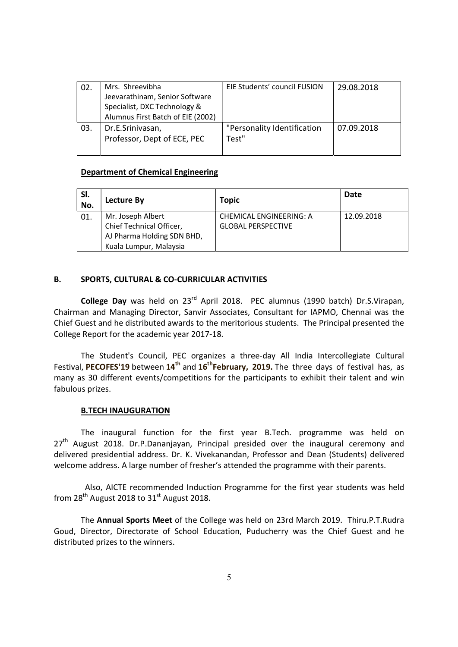| 02. | Mrs. Shreevibha                   | EIE Students' council FUSION | 29.08.2018 |
|-----|-----------------------------------|------------------------------|------------|
|     | Jeevarathinam, Senior Software    |                              |            |
|     | Specialist, DXC Technology &      |                              |            |
|     | Alumnus First Batch of EIE (2002) |                              |            |
| 03. | Dr.E.Srinivasan,                  | "Personality Identification  | 07.09.2018 |
|     | Professor, Dept of ECE, PEC       | Test"                        |            |
|     |                                   |                              |            |

## Department of Chemical Engineering

| SI.<br>No. | Lecture By                                                                                            | <b>Topic</b>                                         | Date       |
|------------|-------------------------------------------------------------------------------------------------------|------------------------------------------------------|------------|
| 01.        | Mr. Joseph Albert<br>Chief Technical Officer,<br>AJ Pharma Holding SDN BHD,<br>Kuala Lumpur, Malaysia | CHEMICAL ENGINEERING: A<br><b>GLOBAL PERSPECTIVE</b> | 12.09.2018 |

## B. SPORTS, CULTURAL & CO-CURRICULAR ACTIVITIES

College Day was held on 23<sup>rd</sup> April 2018. PEC alumnus (1990 batch) Dr.S.Virapan, Chairman and Managing Director, Sanvir Associates, Consultant for IAPMO, Chennai was the Chief Guest and he distributed awards to the meritorious students. The Principal presented the College Report for the academic year 2017-18.

The Student's Council, PEC organizes a three-day All India Intercollegiate Cultural Festival, PECOFES'19 between  $14<sup>th</sup>$  and  $16<sup>th</sup>$ February, 2019. The three days of festival has, as many as 30 different events/competitions for the participants to exhibit their talent and win fabulous prizes.

#### B.TECH INAUGURATION

The inaugural function for the first year B.Tech. programme was held on  $27<sup>th</sup>$  August 2018. Dr.P.Dananjayan, Principal presided over the inaugural ceremony and delivered presidential address. Dr. K. Vivekanandan, Professor and Dean (Students) delivered welcome address. A large number of fresher's attended the programme with their parents.

 Also, AICTE recommended Induction Programme for the first year students was held from  $28<sup>th</sup>$  August 2018 to  $31<sup>st</sup>$  August 2018.

 The Annual Sports Meet of the College was held on 23rd March 2019. Thiru.P.T.Rudra Goud, Director, Directorate of School Education, Puducherry was the Chief Guest and he distributed prizes to the winners.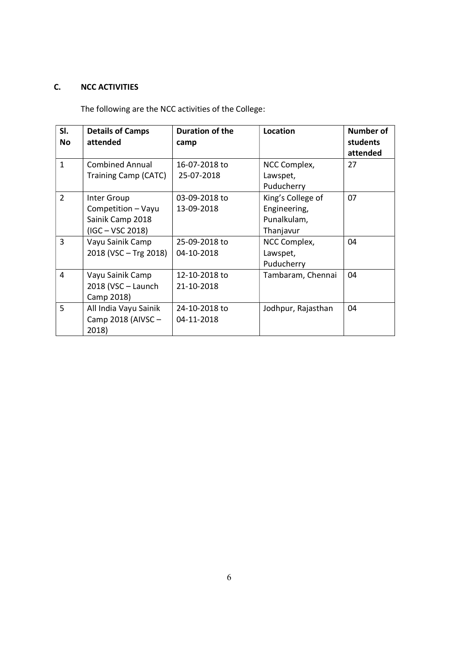# C. NCC ACTIVITIES

The following are the NCC activities of the College:

| SI.          | <b>Details of Camps</b>                                                     | <b>Duration of the</b>      | Location                                                      | Number of            |
|--------------|-----------------------------------------------------------------------------|-----------------------------|---------------------------------------------------------------|----------------------|
| <b>No</b>    | attended                                                                    | camp                        |                                                               | students<br>attended |
| $\mathbf{1}$ | <b>Combined Annual</b><br>Training Camp (CATC)                              | 16-07-2018 to<br>25-07-2018 | NCC Complex,<br>Lawspet,<br>Puducherry                        | 27                   |
| 2            | Inter Group<br>Competition - Vayu<br>Sainik Camp 2018<br>$(IGC - VSC 2018)$ | 03-09-2018 to<br>13-09-2018 | King's College of<br>Engineering,<br>Punalkulam,<br>Thanjavur | 07                   |
| 3            | Vayu Sainik Camp<br>2018 (VSC - Trg 2018)                                   | 25-09-2018 to<br>04-10-2018 | NCC Complex,<br>Lawspet,<br>Puducherry                        | 04                   |
| 4            | Vayu Sainik Camp<br>2018 (VSC - Launch<br>Camp 2018)                        | 12-10-2018 to<br>21-10-2018 | Tambaram, Chennai                                             | 04                   |
| 5            | All India Vayu Sainik<br>Camp 2018 (AIVSC -<br>2018)                        | 24-10-2018 to<br>04-11-2018 | Jodhpur, Rajasthan                                            | 04                   |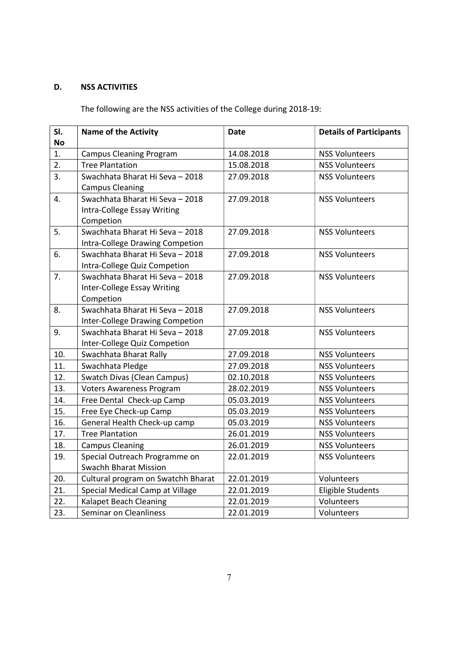# D. NSS ACTIVITIES

The following are the NSS activities of the College during 2018-19:

| SI.       | <b>Name of the Activity</b>        | <b>Date</b> | <b>Details of Participants</b> |
|-----------|------------------------------------|-------------|--------------------------------|
| <b>No</b> |                                    |             |                                |
| 1.        | <b>Campus Cleaning Program</b>     | 14.08.2018  | <b>NSS Volunteers</b>          |
| 2.        | <b>Tree Plantation</b>             | 15.08.2018  | <b>NSS Volunteers</b>          |
| 3.        | Swachhata Bharat Hi Seva - 2018    | 27.09.2018  | <b>NSS Volunteers</b>          |
|           | <b>Campus Cleaning</b>             |             |                                |
| 4.        | Swachhata Bharat Hi Seva - 2018    | 27.09.2018  | <b>NSS Volunteers</b>          |
|           | Intra-College Essay Writing        |             |                                |
|           | Competion                          |             |                                |
| 5.        | Swachhata Bharat Hi Seva - 2018    | 27.09.2018  | <b>NSS Volunteers</b>          |
|           | Intra-College Drawing Competion    |             |                                |
| 6.        | Swachhata Bharat Hi Seva - 2018    | 27.09.2018  | <b>NSS Volunteers</b>          |
|           | Intra-College Quiz Competion       |             |                                |
| 7.        | Swachhata Bharat Hi Seva - 2018    | 27.09.2018  | <b>NSS Volunteers</b>          |
|           | <b>Inter-College Essay Writing</b> |             |                                |
|           | Competion                          |             |                                |
| 8.        | Swachhata Bharat Hi Seva - 2018    | 27.09.2018  | <b>NSS Volunteers</b>          |
|           | Inter-College Drawing Competion    |             |                                |
| 9.        | Swachhata Bharat Hi Seva - 2018    | 27.09.2018  | <b>NSS Volunteers</b>          |
|           | Inter-College Quiz Competion       |             |                                |
| 10.       | Swachhata Bharat Rally             | 27.09.2018  | <b>NSS Volunteers</b>          |
| 11.       | Swachhata Pledge                   | 27.09.2018  | <b>NSS Volunteers</b>          |
| 12.       | <b>Swatch Divas (Clean Campus)</b> | 02.10.2018  | <b>NSS Volunteers</b>          |
| 13.       | <b>Voters Awareness Program</b>    | 28.02.2019  | <b>NSS Volunteers</b>          |
| 14.       | Free Dental Check-up Camp          | 05.03.2019  | <b>NSS Volunteers</b>          |
| 15.       | Free Eye Check-up Camp             | 05.03.2019  | <b>NSS Volunteers</b>          |
| 16.       | General Health Check-up camp       | 05.03.2019  | <b>NSS Volunteers</b>          |
| 17.       | <b>Tree Plantation</b>             | 26.01.2019  | <b>NSS Volunteers</b>          |
| 18.       | <b>Campus Cleaning</b>             | 26.01.2019  | <b>NSS Volunteers</b>          |
| 19.       | Special Outreach Programme on      | 22.01.2019  | <b>NSS Volunteers</b>          |
|           | <b>Swachh Bharat Mission</b>       |             |                                |
| 20.       | Cultural program on Swatchh Bharat | 22.01.2019  | Volunteers                     |
| 21.       | Special Medical Camp at Village    | 22.01.2019  | <b>Eligible Students</b>       |
| 22.       | <b>Kalapet Beach Cleaning</b>      | 22.01.2019  | Volunteers                     |
| 23.       | Seminar on Cleanliness             | 22.01.2019  | Volunteers                     |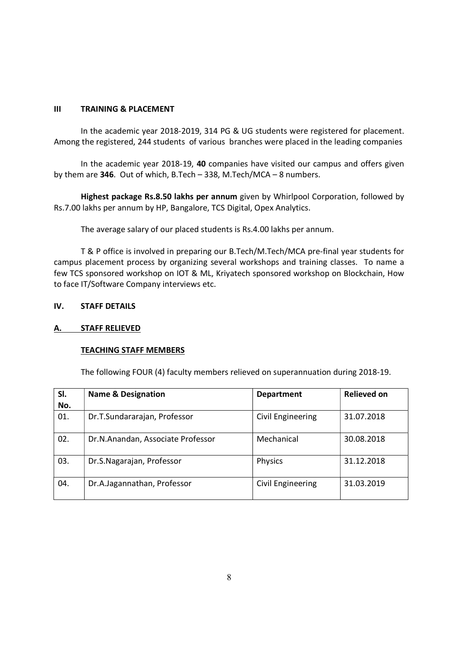### III TRAINING & PLACEMENT

 In the academic year 2018-2019, 314 PG & UG students were registered for placement. Among the registered, 244 students of various branches were placed in the leading companies

 In the academic year 2018-19, 40 companies have visited our campus and offers given by them are 346. Out of which, B.Tech – 338, M.Tech/MCA – 8 numbers.

Highest package Rs.8.50 lakhs per annum given by Whirlpool Corporation, followed by Rs.7.00 lakhs per annum by HP, Bangalore, TCS Digital, Opex Analytics.

The average salary of our placed students is Rs.4.00 lakhs per annum.

 T & P office is involved in preparing our B.Tech/M.Tech/MCA pre-final year students for campus placement process by organizing several workshops and training classes. To name a few TCS sponsored workshop on IOT & ML, Kriyatech sponsored workshop on Blockchain, How to face IT/Software Company interviews etc.

## IV. STAFF DETAILS

### A. STAFF RELIEVED

#### TEACHING STAFF MEMBERS

The following FOUR (4) faculty members relieved on superannuation during 2018-19.

| SI. | <b>Name &amp; Designation</b>     | <b>Department</b> | <b>Relieved on</b> |
|-----|-----------------------------------|-------------------|--------------------|
| No. |                                   |                   |                    |
| 01. | Dr.T.Sundararajan, Professor      | Civil Engineering | 31.07.2018         |
| 02. | Dr.N.Anandan, Associate Professor | Mechanical        | 30.08.2018         |
| 03. | Dr.S.Nagarajan, Professor         | <b>Physics</b>    | 31.12.2018         |
| 04. | Dr.A.Jagannathan, Professor       | Civil Engineering | 31.03.2019         |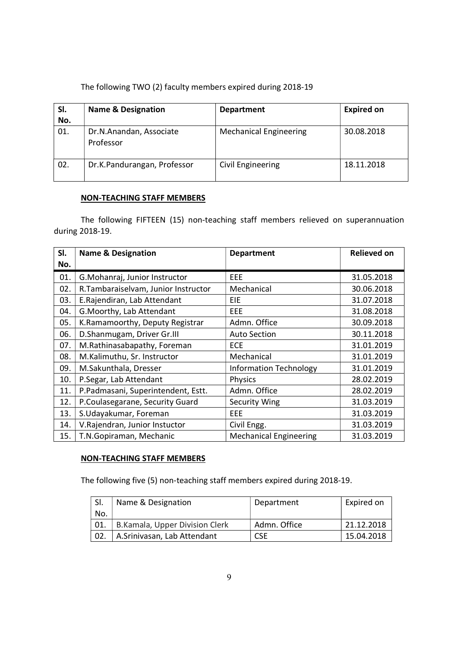| SI.<br>No. | <b>Name &amp; Designation</b>        | <b>Department</b>             | <b>Expired on</b> |
|------------|--------------------------------------|-------------------------------|-------------------|
| 01.        | Dr.N.Anandan, Associate<br>Professor | <b>Mechanical Engineering</b> | 30.08.2018        |
| 02.        | Dr.K.Pandurangan, Professor          | Civil Engineering             | 18.11.2018        |

# NON-TEACHING STAFF MEMBERS

The following FIFTEEN (15) non-teaching staff members relieved on superannuation during 2018-19.

| SI. | <b>Name &amp; Designation</b>       | <b>Department</b>             | <b>Relieved on</b> |
|-----|-------------------------------------|-------------------------------|--------------------|
| No. |                                     |                               |                    |
| 01. | G.Mohanraj, Junior Instructor       | EEE                           | 31.05.2018         |
| 02. | R.Tambaraiselvam, Junior Instructor | Mechanical                    | 30.06.2018         |
| 03. | E.Rajendiran, Lab Attendant         | EIE                           | 31.07.2018         |
| 04. | G. Moorthy, Lab Attendant           | EEE.                          | 31.08.2018         |
| 05. | K.Ramamoorthy, Deputy Registrar     | Admn. Office                  | 30.09.2018         |
| 06. | D.Shanmugam, Driver Gr.III          | <b>Auto Section</b>           | 30.11.2018         |
| 07. | M.Rathinasabapathy, Foreman         | <b>ECE</b>                    | 31.01.2019         |
| 08. | M.Kalimuthu, Sr. Instructor         | Mechanical                    | 31.01.2019         |
| 09. | M.Sakunthala, Dresser               | <b>Information Technology</b> | 31.01.2019         |
| 10. | P.Segar, Lab Attendant              | <b>Physics</b>                | 28.02.2019         |
| 11. | P.Padmasani, Superintendent, Estt.  | Admn. Office                  | 28.02.2019         |
| 12. | P.Coulasegarane, Security Guard     | Security Wing                 | 31.03.2019         |
| 13. | S.Udayakumar, Foreman               | EEE                           | 31.03.2019         |
| 14. | V.Rajendran, Junior Instuctor       | Civil Engg.                   | 31.03.2019         |
| 15. | T.N.Gopiraman, Mechanic             | <b>Mechanical Engineering</b> | 31.03.2019         |

# NON-TEACHING STAFF MEMBERS

The following five (5) non-teaching staff members expired during 2018-19.

|     | Name & Designation             | Department   | Expired on |
|-----|--------------------------------|--------------|------------|
| No. |                                |              |            |
| 01. | B.Kamala, Upper Division Clerk | Admn. Office | 21.12.2018 |
| 02. | A.Srinivasan, Lab Attendant    | <b>CSE</b>   | 15.04.2018 |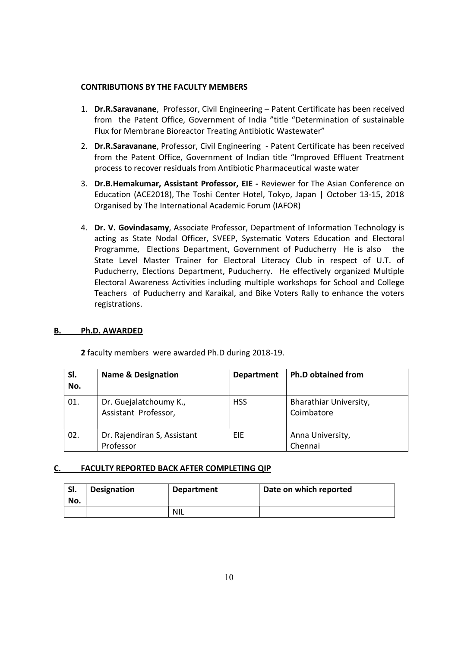#### CONTRIBUTIONS BY THE FACULTY MEMBERS

- 1. Dr.R.Saravanane, Professor, Civil Engineering Patent Certificate has been received from the Patent Office, Government of India "title "Determination of sustainable Flux for Membrane Bioreactor Treating Antibiotic Wastewater"
- 2. Dr.R.Saravanane, Professor, Civil Engineering Patent Certificate has been received from the Patent Office, Government of Indian title "Improved Effluent Treatment process to recover residuals from Antibiotic Pharmaceutical waste water
- 3. Dr.B.Hemakumar, Assistant Professor, EIE Reviewer for The Asian Conference on Education (ACE2018), The Toshi Center Hotel, Tokyo, Japan | October 13-15, 2018 Organised by The International Academic Forum (IAFOR)
- 4. Dr. V. Govindasamy, Associate Professor, Department of Information Technology is acting as State Nodal Officer, SVEEP, Systematic Voters Education and Electoral Programme, Elections Department, Government of Puducherry He is also the State Level Master Trainer for Electoral Literacy Club in respect of U.T. of Puducherry, Elections Department, Puducherry. He effectively organized Multiple Electoral Awareness Activities including multiple workshops for School and College Teachers of Puducherry and Karaikal, and Bike Voters Rally to enhance the voters registrations.

# B. Ph.D. AWARDED

2 faculty members were awarded Ph.D during 2018-19.

| SI.<br>No. | <b>Name &amp; Designation</b>                  | <b>Department</b> | <b>Ph.D obtained from</b>            |
|------------|------------------------------------------------|-------------------|--------------------------------------|
| 01.        | Dr. Guejalatchoumy K.,<br>Assistant Professor, | <b>HSS</b>        | Bharathiar University,<br>Coimbatore |
| 02.        | Dr. Rajendiran S, Assistant<br>Professor       | EIE               | Anna University,<br>Chennai          |

#### C. FACULTY REPORTED BACK AFTER COMPLETING QIP

| SI.<br>No. | <b>Designation</b> | <b>Department</b> | Date on which reported |
|------------|--------------------|-------------------|------------------------|
|            |                    | NIL               |                        |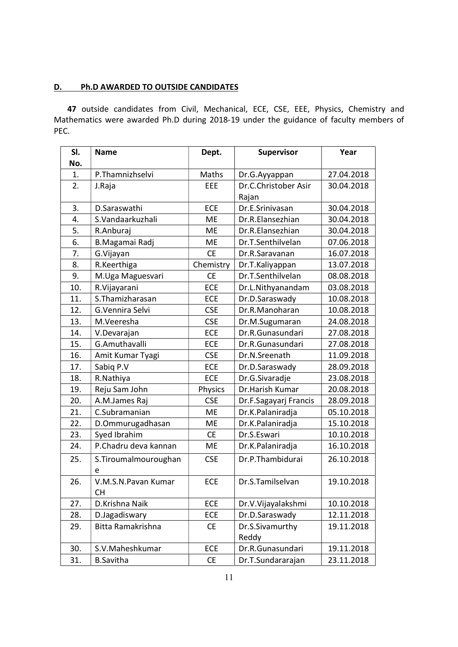# D. Ph.D AWARDED TO OUTSIDE CANDIDATES

47 outside candidates from Civil, Mechanical, ECE, CSE, EEE, Physics, Chemistry and Mathematics were awarded Ph.D during 2018-19 under the guidance of faculty members of PEC.

| SI. | <b>Name</b>           | Dept.      | <b>Supervisor</b>     | Year       |
|-----|-----------------------|------------|-----------------------|------------|
| No. |                       |            |                       |            |
| 1.  | P.Thamnizhselvi       | Maths      | Dr.G.Ayyappan         | 27.04.2018 |
| 2.  | J.Raja                | <b>EEE</b> | Dr.C.Christober Asir  | 30.04.2018 |
|     |                       |            | Rajan                 |            |
| 3.  | D.Saraswathi          | <b>ECE</b> | Dr.E.Srinivasan       | 30.04.2018 |
| 4.  | S.Vandaarkuzhali      | <b>ME</b>  | Dr.R.Elansezhian      | 30.04.2018 |
| 5.  | R.Anburaj             | <b>ME</b>  | Dr.R.Elansezhian      | 30.04.2018 |
| 6.  | <b>B.Magamai Radj</b> | <b>ME</b>  | Dr.T.Senthilvelan     | 07.06.2018 |
| 7.  | G.Vijayan             | <b>CE</b>  | Dr.R.Saravanan        | 16.07.2018 |
| 8.  | R.Keerthiga           | Chemistry  | Dr.T.Kaliyappan       | 13.07.2018 |
| 9.  | M.Uga Maguesvari      | <b>CE</b>  | Dr.T.Senthilvelan     | 08.08.2018 |
| 10. | R.Vijayarani          | <b>ECE</b> | Dr.L.Nithyanandam     | 03.08.2018 |
| 11. | S.Thamizharasan       | <b>ECE</b> | Dr.D.Saraswady        | 10.08.2018 |
| 12. | G.Vennira Selvi       | <b>CSE</b> | Dr.R.Manoharan        | 10.08.2018 |
| 13. | M.Veeresha            | <b>CSE</b> | Dr.M.Sugumaran        | 24.08.2018 |
| 14. | V.Devarajan           | <b>ECE</b> | Dr.R.Gunasundari      | 27.08.2018 |
| 15. | G.Amuthavalli         | <b>ECE</b> | Dr.R.Gunasundari      | 27.08.2018 |
| 16. | Amit Kumar Tyagi      | <b>CSE</b> | Dr.N.Sreenath         | 11.09.2018 |
| 17. | Sabiq P.V             | <b>ECE</b> | Dr.D.Saraswady        | 28.09.2018 |
| 18. | R.Nathiya             | <b>ECE</b> | Dr.G.Sivaradje        | 23.08.2018 |
| 19. | Reju Sam John         | Physics    | Dr.Harish Kumar       | 20.08.2018 |
| 20. | A.M.James Raj         | <b>CSE</b> | Dr.F.Sagayarj Francis | 28.09.2018 |
| 21. | C.Subramanian         | <b>ME</b>  | Dr.K.Palaniradja      | 05.10.2018 |
| 22. | D.Ommurugadhasan      | <b>ME</b>  | Dr.K.Palaniradja      | 15.10.2018 |
| 23. | Syed Ibrahim          | <b>CE</b>  | Dr.S.Eswari           | 10.10.2018 |
| 24. | P.Chadru deva kannan  | ME         | Dr.K.Palaniradja      | 16.10.2018 |
| 25. | S. Tiroumalmouroughan | <b>CSE</b> | Dr.P.Thambidurai      | 26.10.2018 |
|     | e                     |            |                       |            |
| 26. | V.M.S.N.Pavan Kumar   | ECE        | Dr.S.Tamilselvan      | 19.10.2018 |
|     | CН                    |            |                       |            |
| 27. | D.Krishna Naik        | ECE        | Dr.V.Vijayalakshmi    | 10.10.2018 |
| 28. | D.Jagadiswary         | ECE        | Dr.D.Saraswady        | 12.11.2018 |
| 29. | Bitta Ramakrishna     | <b>CE</b>  | Dr.S.Sivamurthy       | 19.11.2018 |
|     |                       |            | Reddy                 |            |
| 30. | S.V.Maheshkumar       | <b>ECE</b> | Dr.R.Gunasundari      | 19.11.2018 |
| 31. | <b>B.Savitha</b>      | <b>CE</b>  | Dr.T.Sundararajan     | 23.11.2018 |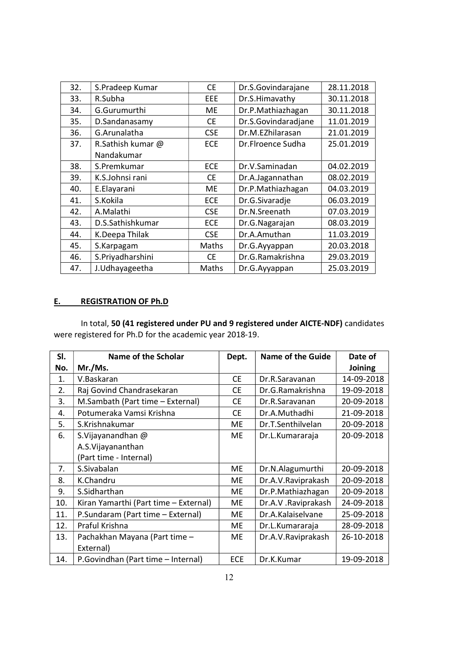| 32. | S.Pradeep Kumar   | <b>CE</b>  | Dr.S.Govindarajane  | 28.11.2018 |
|-----|-------------------|------------|---------------------|------------|
| 33. | R.Subha           | EEE        | Dr.S.Himavathy      | 30.11.2018 |
| 34. | G.Gurumurthi      | ME         | Dr.P.Mathiazhagan   | 30.11.2018 |
| 35. | D.Sandanasamy     | <b>CE</b>  | Dr.S.Govindaradjane | 11.01.2019 |
| 36. | G.Arunalatha      | <b>CSE</b> | Dr.M.EZhilarasan    | 21.01.2019 |
| 37. | R.Sathish kumar @ | <b>ECE</b> | Dr.Flroence Sudha   | 25.01.2019 |
|     | Nandakumar        |            |                     |            |
| 38. | S.Premkumar       | <b>ECE</b> | Dr.V.Saminadan      | 04.02.2019 |
| 39. | K.S.Johnsi rani   | <b>CE</b>  | Dr.A.Jagannathan    | 08.02.2019 |
| 40. | E.Elayarani       | ME         | Dr.P.Mathiazhagan   | 04.03.2019 |
| 41. | S.Kokila          | <b>ECE</b> | Dr.G.Sivaradje      | 06.03.2019 |
| 42. | A.Malathi         | <b>CSE</b> | Dr.N.Sreenath       | 07.03.2019 |
| 43. | D.S.Sathishkumar  | <b>ECE</b> | Dr.G.Nagarajan      | 08.03.2019 |
| 44. | K.Deepa Thilak    | <b>CSE</b> | Dr.A.Amuthan        | 11.03.2019 |
| 45. | S.Karpagam        | Maths      | Dr.G.Ayyappan       | 20.03.2018 |
| 46. | S.Priyadharshini  | <b>CE</b>  | Dr.G.Ramakrishna    | 29.03.2019 |
| 47. | J.Udhayageetha    | Maths      | Dr.G.Ayyappan       | 25.03.2019 |

# E. REGISTRATION OF Ph.D

In total, 50 (41 registered under PU and 9 registered under AICTE-NDF) candidates were registered for Ph.D for the academic year 2018-19.

| SI. | Name of the Scholar                   | Dept.      | Name of the Guide   | Date of    |
|-----|---------------------------------------|------------|---------------------|------------|
| No. | Mr./Ms.                               |            |                     | Joining    |
| 1.  | V.Baskaran                            | <b>CE</b>  | Dr.R.Saravanan      | 14-09-2018 |
| 2.  | Raj Govind Chandrasekaran             | <b>CE</b>  | Dr.G.Ramakrishna    | 19-09-2018 |
| 3.  | M.Sambath (Part time - External)      | <b>CE</b>  | Dr.R.Saravanan      | 20-09-2018 |
| 4.  | Potumeraka Vamsi Krishna              | <b>CE</b>  | Dr.A.Muthadhi       | 21-09-2018 |
| 5.  | S.Krishnakumar                        | ME         | Dr.T.Senthilvelan   | 20-09-2018 |
| 6.  | S.Vijayanandhan @                     | ME         | Dr.L.Kumararaja     | 20-09-2018 |
|     | A.S. Vijayananthan                    |            |                     |            |
|     | (Part time - Internal)                |            |                     |            |
| 7.  | S.Sivabalan                           | <b>ME</b>  | Dr.N.Alagumurthi    | 20-09-2018 |
| 8.  | K.Chandru                             | ME         | Dr.A.V.Raviprakash  | 20-09-2018 |
| 9.  | S.Sidharthan                          | ME         | Dr.P.Mathiazhagan   | 20-09-2018 |
| 10. | Kiran Yamarthi (Part time - External) | ME         | Dr.A.V. Raviprakash | 24-09-2018 |
| 11. | P.Sundaram (Part time - External)     | ME         | Dr.A.Kalaiselvane   | 25-09-2018 |
| 12. | Praful Krishna                        | <b>ME</b>  | Dr.L.Kumararaja     | 28-09-2018 |
| 13. | Pachakhan Mayana (Part time -         | ME         | Dr.A.V.Raviprakash  | 26-10-2018 |
|     | External)                             |            |                     |            |
| 14. | P.Govindhan (Part time - Internal)    | <b>ECE</b> | Dr.K.Kumar          | 19-09-2018 |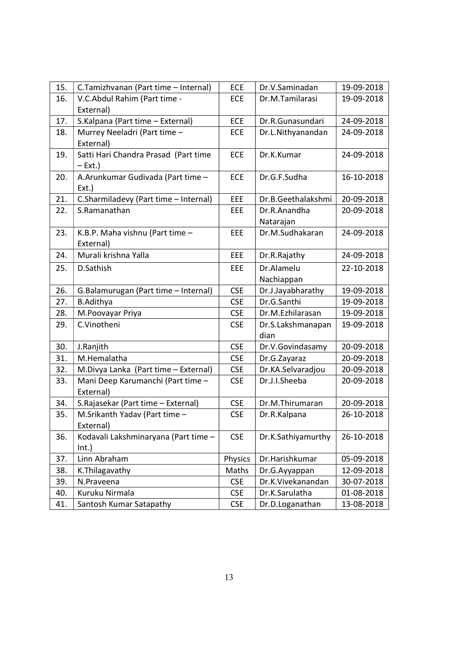| 15. | C.Tamizhvanan (Part time - Internal)  | ECE        | Dr.V.Saminadan     | 19-09-2018 |
|-----|---------------------------------------|------------|--------------------|------------|
| 16. | V.C.Abdul Rahim (Part time -          | ECE        | Dr.M.Tamilarasi    | 19-09-2018 |
|     | External)                             |            |                    |            |
| 17. | S.Kalpana (Part time - External)      | <b>ECE</b> | Dr.R.Gunasundari   | 24-09-2018 |
| 18. | Murrey Neeladri (Part time -          | <b>ECE</b> | Dr.L.Nithyanandan  | 24-09-2018 |
|     | External)                             |            |                    |            |
| 19. | Satti Hari Chandra Prasad (Part time  | <b>ECE</b> | Dr.K.Kumar         | 24-09-2018 |
|     | $-$ Ext.)                             |            |                    |            |
| 20. | A.Arunkumar Gudivada (Part time -     | ECE        | Dr.G.F.Sudha       | 16-10-2018 |
|     | $Ext.$ )                              |            |                    |            |
| 21. | C.Sharmiladevy (Part time - Internal) | EEE        | Dr.B.Geethalakshmi | 20-09-2018 |
| 22. | S.Ramanathan                          | EEE        | Dr.R.Anandha       | 20-09-2018 |
|     |                                       |            | Natarajan          |            |
| 23. | K.B.P. Maha vishnu (Part time -       | EEE        | Dr.M.Sudhakaran    | 24-09-2018 |
|     | External)                             |            |                    |            |
| 24. | Murali krishna Yalla                  | EEE        | Dr.R.Rajathy       | 24-09-2018 |
| 25. | D.Sathish                             | EEE        | Dr.Alamelu         | 22-10-2018 |
|     |                                       |            | Nachiappan         |            |
| 26. | G.Balamurugan (Part time - Internal)  | <b>CSE</b> | Dr.J.Jayabharathy  | 19-09-2018 |
| 27. | <b>B.Adithya</b>                      | <b>CSE</b> | Dr.G.Santhi        | 19-09-2018 |
| 28. | M.Poovayar Priya                      | <b>CSE</b> | Dr.M.Ezhilarasan   | 19-09-2018 |
| 29. | C.Vinotheni                           | <b>CSE</b> | Dr.S.Lakshmanapan  | 19-09-2018 |
|     |                                       |            | dian               |            |
| 30. | J.Ranjith                             | <b>CSE</b> | Dr.V.Govindasamy   | 20-09-2018 |
| 31. | M.Hemalatha                           | <b>CSE</b> | Dr.G.Zayaraz       | 20-09-2018 |
| 32. | M.Divya Lanka (Part time - External)  | <b>CSE</b> | Dr.KA.Selvaradjou  | 20-09-2018 |
| 33. | Mani Deep Karumanchi (Part time -     | <b>CSE</b> | Dr.J.I.Sheeba      | 20-09-2018 |
|     | External)                             |            |                    |            |
| 34. | S. Rajasekar (Part time - External)   | <b>CSE</b> | Dr.M.Thirumaran    | 20-09-2018 |
| 35. | M.Srikanth Yadav (Part time -         | <b>CSE</b> | Dr.R.Kalpana       | 26-10-2018 |
|     | External)                             |            |                    |            |
| 36. | Kodavali Lakshminaryana (Part time -  | <b>CSE</b> | Dr.K.Sathiyamurthy | 26-10-2018 |
|     | Int.)                                 |            |                    |            |
| 37. | Linn Abraham                          | Physics    | Dr.Harishkumar     | 05-09-2018 |
| 38. | K. Thilagavathy                       | Maths      | Dr.G.Ayyappan      | 12-09-2018 |
| 39. | N.Praveena                            | <b>CSE</b> | Dr.K.Vivekanandan  | 30-07-2018 |
| 40. | Kuruku Nirmala                        | <b>CSE</b> | Dr.K.Sarulatha     | 01-08-2018 |
| 41. | Santosh Kumar Satapathy               | <b>CSE</b> | Dr.D.Loganathan    | 13-08-2018 |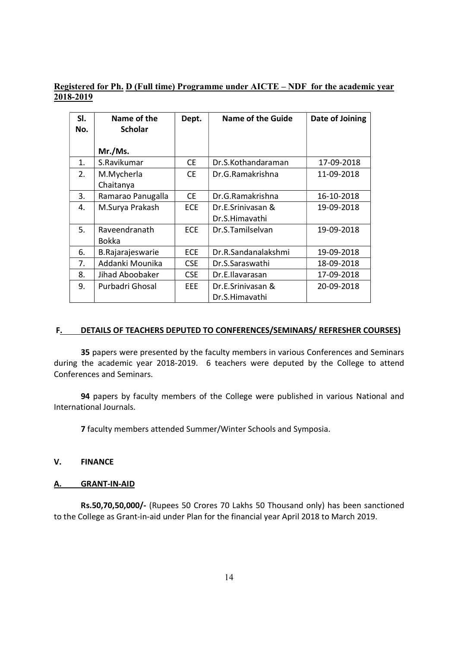# Registered for Ph. D (Full time) Programme under AICTE – NDF for the academic year 2018-2019

| SI. | Name of the       | Dept.      | <b>Name of the Guide</b> | Date of Joining |
|-----|-------------------|------------|--------------------------|-----------------|
| No. | <b>Scholar</b>    |            |                          |                 |
|     | Mr./Ms.           |            |                          |                 |
| 1.  | S.Ravikumar       | <b>CE</b>  | Dr.S.Kothandaraman       | 17-09-2018      |
| 2.  | M.Mycherla        | <b>CE</b>  | Dr.G.Ramakrishna         | 11-09-2018      |
|     | Chaitanya         |            |                          |                 |
| 3.  | Ramarao Panugalla | <b>CE</b>  | Dr.G.Ramakrishna         | 16-10-2018      |
| 4.  | M.Surya Prakash   | <b>ECE</b> | Dr.E.Srinivasan &        | 19-09-2018      |
|     |                   |            | Dr.S.Himavathi           |                 |
| 5.  | Raveendranath     | <b>ECE</b> | Dr.S.Tamilselvan         | 19-09-2018      |
|     | Bokka             |            |                          |                 |
| 6.  | B.Rajarajeswarie  | <b>ECE</b> | Dr.R.Sandanalakshmi      | 19-09-2018      |
| 7.  | Addanki Mounika   | <b>CSE</b> | Dr.S.Saraswathi          | 18-09-2018      |
| 8.  | Jihad Aboobaker   | <b>CSE</b> | Dr.E.Ilavarasan          | 17-09-2018      |
| 9.  | Purbadri Ghosal   | EEE.       | Dr.E.Srinivasan &        | 20-09-2018      |
|     |                   |            | Dr.S.Himavathi           |                 |

#### F. DETAILS OF TEACHERS DEPUTED TO CONFERENCES/SEMINARS/ REFRESHER COURSES)

35 papers were presented by the faculty members in various Conferences and Seminars during the academic year 2018-2019. 6 teachers were deputed by the College to attend Conferences and Seminars.

94 papers by faculty members of the College were published in various National and International Journals.

7 faculty members attended Summer/Winter Schools and Symposia.

## V. FINANCE

#### A. GRANT-IN-AID

 Rs.50,70,50,000/- (Rupees 50 Crores 70 Lakhs 50 Thousand only) has been sanctioned to the College as Grant-in-aid under Plan for the financial year April 2018 to March 2019.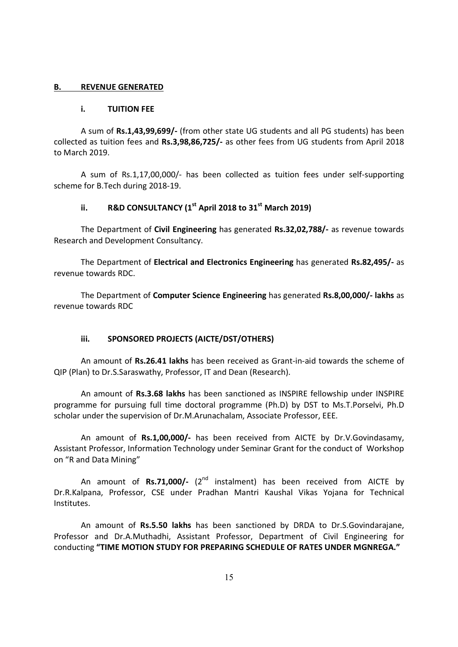#### B. REVENUE GENERATED

#### i. TUITION FEE

 A sum of Rs.1,43,99,699/- (from other state UG students and all PG students) has been collected as tuition fees and Rs.3,98,86,725/- as other fees from UG students from April 2018 to March 2019.

 A sum of Rs.1,17,00,000/- has been collected as tuition fees under self-supporting scheme for B.Tech during 2018-19.

# ii. R&D CONSULTANCY  $(1<sup>st</sup>$  April 2018 to 31 $<sup>st</sup>$  March 2019)</sup>

The Department of Civil Engineering has generated Rs.32,02,788/- as revenue towards Research and Development Consultancy.

 The Department of Electrical and Electronics Engineering has generated Rs.82,495/- as revenue towards RDC.

 The Department of Computer Science Engineering has generated Rs.8,00,000/- lakhs as revenue towards RDC

#### iii. SPONSORED PROJECTS (AICTE/DST/OTHERS)

An amount of Rs.26.41 lakhs has been received as Grant-in-aid towards the scheme of QIP (Plan) to Dr.S.Saraswathy, Professor, IT and Dean (Research).

An amount of Rs.3.68 lakhs has been sanctioned as INSPIRE fellowship under INSPIRE programme for pursuing full time doctoral programme (Ph.D) by DST to Ms.T.Porselvi, Ph.D scholar under the supervision of Dr.M.Arunachalam, Associate Professor, EEE.

An amount of Rs.1,00,000/- has been received from AICTE by Dr.V.Govindasamy, Assistant Professor, Information Technology under Seminar Grant for the conduct of Workshop on "R and Data Mining"

An amount of Rs.71,000/-  $(2^{nd}$  instalment) has been received from AICTE by Dr.R.Kalpana, Professor, CSE under Pradhan Mantri Kaushal Vikas Yojana for Technical Institutes.

An amount of Rs.5.50 lakhs has been sanctioned by DRDA to Dr.S.Govindarajane, Professor and Dr.A.Muthadhi, Assistant Professor, Department of Civil Engineering for conducting "TIME MOTION STUDY FOR PREPARING SCHEDULE OF RATES UNDER MGNREGA."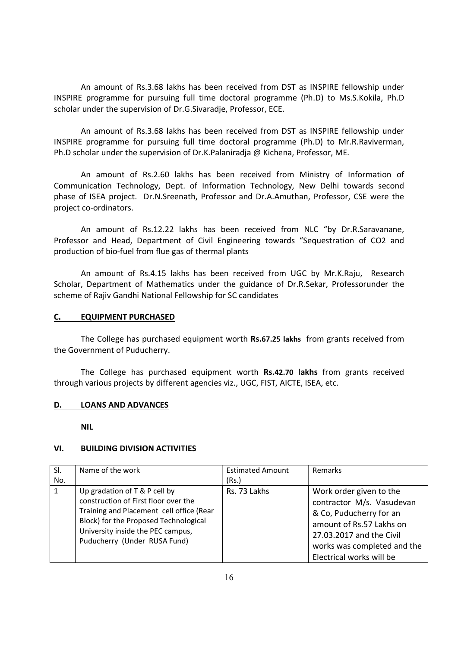An amount of Rs.3.68 lakhs has been received from DST as INSPIRE fellowship under INSPIRE programme for pursuing full time doctoral programme (Ph.D) to Ms.S.Kokila, Ph.D scholar under the supervision of Dr.G.Sivaradje, Professor, ECE.

An amount of Rs.3.68 lakhs has been received from DST as INSPIRE fellowship under INSPIRE programme for pursuing full time doctoral programme (Ph.D) to Mr.R.Raviverman, Ph.D scholar under the supervision of Dr.K.Palaniradja @ Kichena, Professor, ME.

An amount of Rs.2.60 lakhs has been received from Ministry of Information of Communication Technology, Dept. of Information Technology, New Delhi towards second phase of ISEA project. Dr.N.Sreenath, Professor and Dr.A.Amuthan, Professor, CSE were the project co-ordinators.

An amount of Rs.12.22 lakhs has been received from NLC "by Dr.R.Saravanane, Professor and Head, Department of Civil Engineering towards "Sequestration of CO2 and production of bio-fuel from flue gas of thermal plants

An amount of Rs.4.15 lakhs has been received from UGC by Mr.K.Raju, Research Scholar, Department of Mathematics under the guidance of Dr.R.Sekar, Professorunder the scheme of Rajiv Gandhi National Fellowship for SC candidates

## C. EQUIPMENT PURCHASED

The College has purchased equipment worth Rs.67.25 lakhs from grants received from the Government of Puducherry.

 The College has purchased equipment worth Rs.42.70 lakhs from grants received through various projects by different agencies viz., UGC, FIST, AICTE, ISEA, etc.

#### D. LOANS AND ADVANCES

NIL

# VI. BUILDING DIVISION ACTIVITIES

| SI.<br>No. | Name of the work                                                                                                                                                                                                                | <b>Estimated Amount</b><br>(Rs.) | Remarks                                                                                                                                                                                            |
|------------|---------------------------------------------------------------------------------------------------------------------------------------------------------------------------------------------------------------------------------|----------------------------------|----------------------------------------------------------------------------------------------------------------------------------------------------------------------------------------------------|
| 1          | Up gradation of T & P cell by<br>construction of First floor over the<br>Training and Placement cell office (Rear<br>Block) for the Proposed Technological<br>University inside the PEC campus,<br>Puducherry (Under RUSA Fund) | Rs. 73 Lakhs                     | Work order given to the<br>contractor M/s. Vasudevan<br>& Co, Puducherry for an<br>amount of Rs.57 Lakhs on<br>27.03.2017 and the Civil<br>works was completed and the<br>Electrical works will be |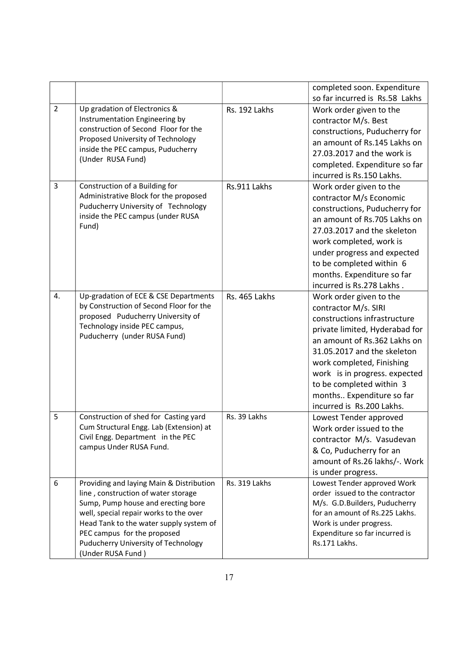|                |                                                                                   |               | completed soon. Expenditure                               |
|----------------|-----------------------------------------------------------------------------------|---------------|-----------------------------------------------------------|
|                |                                                                                   |               | so far incurred is Rs.58 Lakhs                            |
| $\overline{2}$ | Up gradation of Electronics &                                                     | Rs. 192 Lakhs | Work order given to the                                   |
|                | Instrumentation Engineering by<br>construction of Second Floor for the            |               | contractor M/s. Best                                      |
|                | Proposed University of Technology                                                 |               | constructions, Puducherry for                             |
|                | inside the PEC campus, Puducherry                                                 |               | an amount of Rs.145 Lakhs on                              |
|                | (Under RUSA Fund)                                                                 |               | 27.03.2017 and the work is                                |
|                |                                                                                   |               | completed. Expenditure so far                             |
|                |                                                                                   |               | incurred is Rs.150 Lakhs.                                 |
| 3              | Construction of a Building for                                                    | Rs.911 Lakhs  | Work order given to the                                   |
|                | Administrative Block for the proposed                                             |               | contractor M/s Economic                                   |
|                | Puducherry University of Technology<br>inside the PEC campus (under RUSA          |               | constructions, Puducherry for                             |
|                | Fund)                                                                             |               | an amount of Rs.705 Lakhs on                              |
|                |                                                                                   |               | 27.03.2017 and the skeleton                               |
|                |                                                                                   |               | work completed, work is                                   |
|                |                                                                                   |               | under progress and expected                               |
|                |                                                                                   |               | to be completed within 6                                  |
|                |                                                                                   |               | months. Expenditure so far                                |
|                |                                                                                   |               | incurred is Rs.278 Lakhs.                                 |
| 4.             | Up-gradation of ECE & CSE Departments                                             | Rs. 465 Lakhs | Work order given to the                                   |
|                | by Construction of Second Floor for the                                           |               | contractor M/s. SIRI                                      |
|                | proposed Puducherry University of<br>Technology inside PEC campus,                |               | constructions infrastructure                              |
|                | Puducherry (under RUSA Fund)                                                      |               | private limited, Hyderabad for                            |
|                |                                                                                   |               | an amount of Rs.362 Lakhs on                              |
|                |                                                                                   |               | 31.05.2017 and the skeleton                               |
|                |                                                                                   |               | work completed, Finishing                                 |
|                |                                                                                   |               | work is in progress. expected                             |
|                |                                                                                   |               | to be completed within 3                                  |
|                |                                                                                   |               | months Expenditure so far                                 |
|                |                                                                                   |               | incurred is Rs.200 Lakhs.                                 |
| 5              | Construction of shed for Casting yard                                             | Rs. 39 Lakhs  | Lowest Tender approved                                    |
|                | Cum Structural Engg. Lab (Extension) at                                           |               | Work order issued to the                                  |
|                | Civil Engg. Department in the PEC                                                 |               | contractor M/s. Vasudevan                                 |
|                | campus Under RUSA Fund.                                                           |               | & Co, Puducherry for an                                   |
|                |                                                                                   |               | amount of Rs.26 lakhs/-. Work                             |
|                |                                                                                   |               | is under progress.                                        |
| 6              | Providing and laying Main & Distribution                                          | Rs. 319 Lakhs | Lowest Tender approved Work                               |
|                | line, construction of water storage                                               |               | order issued to the contractor                            |
|                | Sump, Pump house and erecting bore                                                |               | M/s. G.D.Builders, Puducherry                             |
|                | well, special repair works to the over<br>Head Tank to the water supply system of |               | for an amount of Rs.225 Lakhs.<br>Work is under progress. |
|                | PEC campus for the proposed                                                       |               | Expenditure so far incurred is                            |
|                | Puducherry University of Technology                                               |               | Rs.171 Lakhs.                                             |
|                | (Under RUSA Fund)                                                                 |               |                                                           |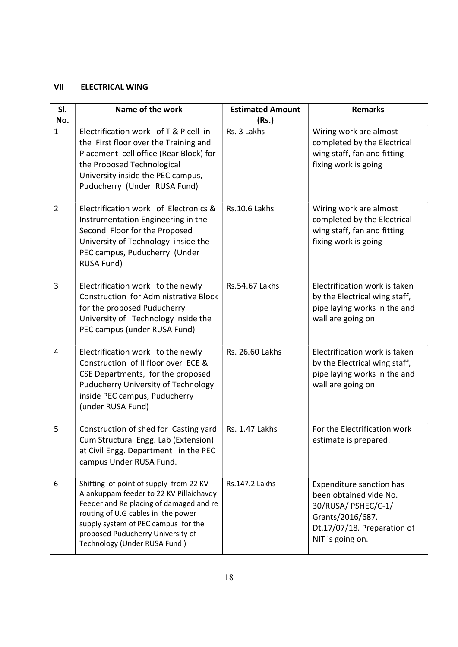# VII ELECTRICAL WING

| SI.<br>No.     | Name of the work                                                                                                                                                                                                                                                               | <b>Estimated Amount</b><br>(Rs.) | <b>Remarks</b>                                                                                                                                          |
|----------------|--------------------------------------------------------------------------------------------------------------------------------------------------------------------------------------------------------------------------------------------------------------------------------|----------------------------------|---------------------------------------------------------------------------------------------------------------------------------------------------------|
| $\mathbf{1}$   | Electrification work of T & P cell in<br>the First floor over the Training and<br>Placement cell office (Rear Block) for<br>the Proposed Technological<br>University inside the PEC campus,<br>Puducherry (Under RUSA Fund)                                                    | Rs. 3 Lakhs                      | Wiring work are almost<br>completed by the Electrical<br>wing staff, fan and fitting<br>fixing work is going                                            |
| $\overline{2}$ | Electrification work of Electronics &<br>Instrumentation Engineering in the<br>Second Floor for the Proposed<br>University of Technology inside the<br>PEC campus, Puducherry (Under<br><b>RUSA Fund)</b>                                                                      | <b>Rs.10.6 Lakhs</b>             | Wiring work are almost<br>completed by the Electrical<br>wing staff, fan and fitting<br>fixing work is going                                            |
| 3              | Electrification work to the newly<br><b>Construction for Administrative Block</b><br>for the proposed Puducherry<br>University of Technology inside the<br>PEC campus (under RUSA Fund)                                                                                        | <b>Rs.54.67 Lakhs</b>            | Electrification work is taken<br>by the Electrical wing staff,<br>pipe laying works in the and<br>wall are going on                                     |
| $\overline{4}$ | Electrification work to the newly<br>Construction of II floor over ECE &<br>CSE Departments, for the proposed<br>Puducherry University of Technology<br>inside PEC campus, Puducherry<br>(under RUSA Fund)                                                                     | Rs. 26.60 Lakhs                  | Electrification work is taken<br>by the Electrical wing staff,<br>pipe laying works in the and<br>wall are going on                                     |
| 5              | Construction of shed for Casting yard<br>Cum Structural Engg. Lab (Extension)<br>at Civil Engg. Department in the PEC<br>campus Under RUSA Fund.                                                                                                                               | Rs. 1.47 Lakhs                   | For the Electrification work<br>estimate is prepared.                                                                                                   |
| 6              | Shifting of point of supply from 22 KV<br>Alankuppam feeder to 22 KV Pillaichavdy<br>Feeder and Re placing of damaged and re<br>routing of U.G cables in the power<br>supply system of PEC campus for the<br>proposed Puducherry University of<br>Technology (Under RUSA Fund) | Rs.147.2 Lakhs                   | <b>Expenditure sanction has</b><br>been obtained vide No.<br>30/RUSA/ PSHEC/C-1/<br>Grants/2016/687.<br>Dt.17/07/18. Preparation of<br>NIT is going on. |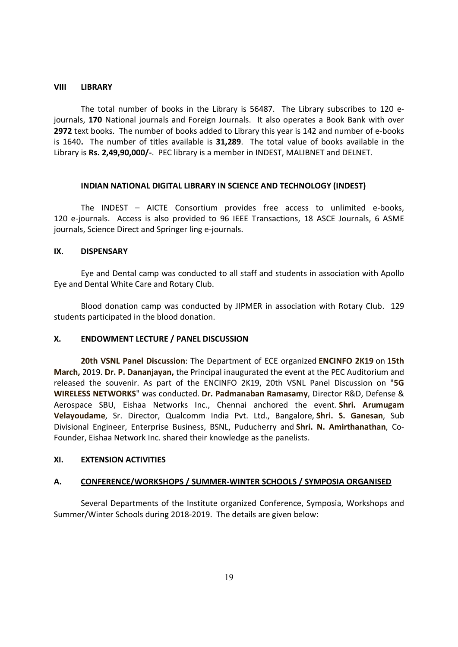#### VIII LIBRARY

 The total number of books in the Library is 56487. The Library subscribes to 120 ejournals, 170 National journals and Foreign Journals. It also operates a Book Bank with over 2972 text books. The number of books added to Library this year is 142 and number of e-books is 1640. The number of titles available is 31,289. The total value of books available in the Library is Rs. 2,49,90,000/-. PEC library is a member in INDEST, MALIBNET and DELNET.

#### INDIAN NATIONAL DIGITAL LIBRARY IN SCIENCE AND TECHNOLOGY (INDEST)

The INDEST – AICTE Consortium provides free access to unlimited e-books, 120 e-journals. Access is also provided to 96 IEEE Transactions, 18 ASCE Journals, 6 ASME journals, Science Direct and Springer ling e-journals.

#### IX. DISPENSARY

Eye and Dental camp was conducted to all staff and students in association with Apollo Eye and Dental White Care and Rotary Club.

 Blood donation camp was conducted by JIPMER in association with Rotary Club. 129 students participated in the blood donation.

#### X. ENDOWMENT LECTURE / PANEL DISCUSSION

 20th VSNL Panel Discussion: The Department of ECE organized ENCINFO 2K19 on 15th March, 2019. Dr. P. Dananjayan, the Principal inaugurated the event at the PEC Auditorium and released the souvenir. As part of the ENCINFO 2K19, 20th VSNL Panel Discussion on "5G WIRELESS NETWORKS" was conducted. Dr. Padmanaban Ramasamy, Director R&D, Defense & Aerospace SBU, Eishaa Networks Inc., Chennai anchored the event. Shri. Arumugam Velayoudame, Sr. Director, Qualcomm India Pvt. Ltd., Bangalore, Shri. S. Ganesan, Sub Divisional Engineer, Enterprise Business, BSNL, Puducherry and Shri. N. Amirthanathan, Co-Founder, Eishaa Network Inc. shared their knowledge as the panelists.

#### XI. EXTENSION ACTIVITIES

# A. CONFERENCE/WORKSHOPS / SUMMER-WINTER SCHOOLS / SYMPOSIA ORGANISED

 Several Departments of the Institute organized Conference, Symposia, Workshops and Summer/Winter Schools during 2018-2019. The details are given below: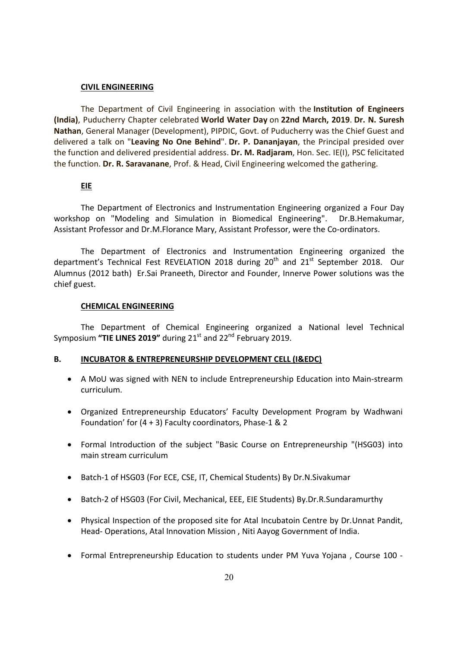#### CIVIL ENGINEERING

The Department of Civil Engineering in association with the Institution of Engineers (India), Puducherry Chapter celebrated World Water Day on 22nd March, 2019. Dr. N. Suresh Nathan, General Manager (Development), PIPDIC, Govt. of Puducherry was the Chief Guest and delivered a talk on "Leaving No One Behind". Dr. P. Dananjayan, the Principal presided over the function and delivered presidential address. Dr. M. Radjaram, Hon. Sec. IE(I), PSC felicitated the function. Dr. R. Saravanane, Prof. & Head, Civil Engineering welcomed the gathering.

## EIE

The Department of Electronics and Instrumentation Engineering organized a Four Day workshop on "Modeling and Simulation in Biomedical Engineering". Dr.B.Hemakumar, Assistant Professor and Dr.M.Florance Mary, Assistant Professor, were the Co-ordinators.

The Department of Electronics and Instrumentation Engineering organized the department's Technical Fest REVELATION 2018 during  $20<sup>th</sup>$  and  $21<sup>st</sup>$  September 2018. Our Alumnus (2012 bath) Er.Sai Praneeth, Director and Founder, Innerve Power solutions was the chief guest.

#### CHEMICAL ENGINEERING

The Department of Chemical Engineering organized a National level Technical Symposium "TIE LINES 2019" during  $21<sup>st</sup>$  and  $22<sup>nd</sup>$  February 2019.

#### B. INCUBATOR & ENTREPRENEURSHIP DEVELOPMENT CELL (I&EDC)

- A MoU was signed with NEN to include Entrepreneurship Education into Main-strearm curriculum.
- Organized Entrepreneurship Educators' Faculty Development Program by Wadhwani Foundation' for (4 + 3) Faculty coordinators, Phase-1 & 2
- Formal Introduction of the subject "Basic Course on Entrepreneurship "(HSG03) into main stream curriculum
- Batch-1 of HSG03 (For ECE, CSE, IT, Chemical Students) By Dr.N.Sivakumar
- Batch-2 of HSG03 (For Civil, Mechanical, EEE, EIE Students) By.Dr.R.Sundaramurthy
- Physical Inspection of the proposed site for Atal Incubatoin Centre by Dr.Unnat Pandit, Head- Operations, Atal Innovation Mission , Niti Aayog Government of India.
- Formal Entrepreneurship Education to students under PM Yuva Yojana , Course 100 -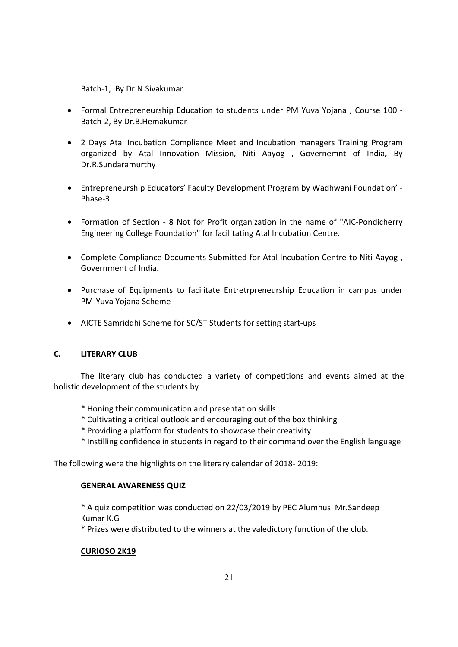Batch-1, By Dr.N.Sivakumar

- Formal Entrepreneurship Education to students under PM Yuva Yojana , Course 100 Batch-2, By Dr.B.Hemakumar
- 2 Days Atal Incubation Compliance Meet and Incubation managers Training Program organized by Atal Innovation Mission, Niti Aayog , Governemnt of India, By Dr.R.Sundaramurthy
- Entrepreneurship Educators' Faculty Development Program by Wadhwani Foundation' Phase-3
- Formation of Section 8 Not for Profit organization in the name of "AIC-Pondicherry Engineering College Foundation" for facilitating Atal Incubation Centre.
- Complete Compliance Documents Submitted for Atal Incubation Centre to Niti Aayog , Government of India.
- Purchase of Equipments to facilitate Entretrpreneurship Education in campus under PM-Yuva Yojana Scheme
- AICTE Samriddhi Scheme for SC/ST Students for setting start-ups

# C. LITERARY CLUB

The literary club has conducted a variety of competitions and events aimed at the holistic development of the students by

- \* Honing their communication and presentation skills
- \* Cultivating a critical outlook and encouraging out of the box thinking
- \* Providing a platform for students to showcase their creativity
- \* Instilling confidence in students in regard to their command over the English language

The following were the highlights on the literary calendar of 2018- 2019:

# GENERAL AWARENESS QUIZ

\* A quiz competition was conducted on 22/03/2019 by PEC Alumnus Mr.Sandeep Kumar K.G

\* Prizes were distributed to the winners at the valedictory function of the club.

# CURIOSO 2K19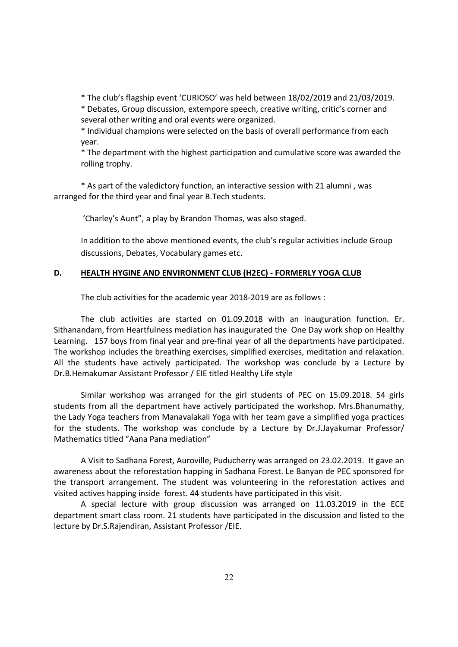\* The club's flagship event 'CURIOSO' was held between 18/02/2019 and 21/03/2019.

\* Debates, Group discussion, extempore speech, creative writing, critic's corner and several other writing and oral events were organized.

\* Individual champions were selected on the basis of overall performance from each year.

\* The department with the highest participation and cumulative score was awarded the rolling trophy.

\* As part of the valedictory function, an interactive session with 21 alumni , was arranged for the third year and final year B.Tech students.

'Charley's Aunt", a play by Brandon Thomas, was also staged.

In addition to the above mentioned events, the club's regular activities include Group discussions, Debates, Vocabulary games etc.

## D. HEALTH HYGINE AND ENVIRONMENT CLUB (H2EC) - FORMERLY YOGA CLUB

The club activities for the academic year 2018-2019 are as follows :

The club activities are started on 01.09.2018 with an inauguration function. Er. Sithanandam, from Heartfulness mediation has inaugurated the One Day work shop on Healthy Learning. 157 boys from final year and pre-final year of all the departments have participated. The workshop includes the breathing exercises, simplified exercises, meditation and relaxation. All the students have actively participated. The workshop was conclude by a Lecture by Dr.B.Hemakumar Assistant Professor / EIE titled Healthy Life style

Similar workshop was arranged for the girl students of PEC on 15.09.2018. 54 girls students from all the department have actively participated the workshop. Mrs.Bhanumathy, the Lady Yoga teachers from Manavalakali Yoga with her team gave a simplified yoga practices for the students. The workshop was conclude by a Lecture by Dr.J.Jayakumar Professor/ Mathematics titled "Aana Pana mediation"

A Visit to Sadhana Forest, Auroville, Puducherry was arranged on 23.02.2019. It gave an awareness about the reforestation happing in Sadhana Forest. Le Banyan de PEC sponsored for the transport arrangement. The student was volunteering in the reforestation actives and visited actives happing inside forest. 44 students have participated in this visit.

 A special lecture with group discussion was arranged on 11.03.2019 in the ECE department smart class room. 21 students have participated in the discussion and listed to the lecture by Dr.S.Rajendiran, Assistant Professor /EIE.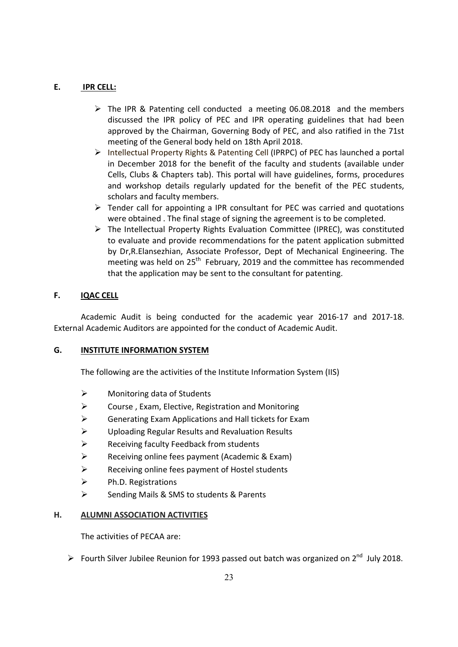# E. **IPR CELL:**

- The IPR & Patenting cell conducted a meeting 06.08.2018 and the members discussed the IPR policy of PEC and IPR operating guidelines that had been approved by the Chairman, Governing Body of PEC, and also ratified in the 71st meeting of the General body held on 18th April 2018.
- $\triangleright$  Intellectual Property Rights & Patenting Cell (IPRPC) of PEC has launched a portal in December 2018 for the benefit of the faculty and students (available under Cells, Clubs & Chapters tab). This portal will have guidelines, forms, procedures and workshop details regularly updated for the benefit of the PEC students, scholars and faculty members.
- $\triangleright$  Tender call for appointing a IPR consultant for PEC was carried and quotations were obtained . The final stage of signing the agreement is to be completed.
- $\triangleright$  The Intellectual Property Rights Evaluation Committee (IPREC), was constituted to evaluate and provide recommendations for the patent application submitted by Dr,R.Elansezhian, Associate Professor, Dept of Mechanical Engineering. The meeting was held on  $25<sup>th</sup>$  February, 2019 and the committee has recommended that the application may be sent to the consultant for patenting.

# F. **IQAC CELL**

Academic Audit is being conducted for the academic year 2016-17 and 2017-18. External Academic Auditors are appointed for the conduct of Academic Audit.

# G. INSTITUTE INFORMATION SYSTEM

The following are the activities of the Institute Information System (IIS)

- $\triangleright$  Monitoring data of Students
- $\triangleright$  Course, Exam, Elective, Registration and Monitoring
- ▶ Generating Exam Applications and Hall tickets for Exam
- Uploading Regular Results and Revaluation Results
- $\triangleright$  Receiving faculty Feedback from students
- $\triangleright$  Receiving online fees payment (Academic & Exam)
- Receiving online fees payment of Hostel students
- $\triangleright$  Ph.D. Registrations
- $\triangleright$  Sending Mails & SMS to students & Parents

# H. ALUMNI ASSOCIATION ACTIVITIES

The activities of PECAA are:

Fourth Silver Jubilee Reunion for 1993 passed out batch was organized on  $2^{nd}$  July 2018.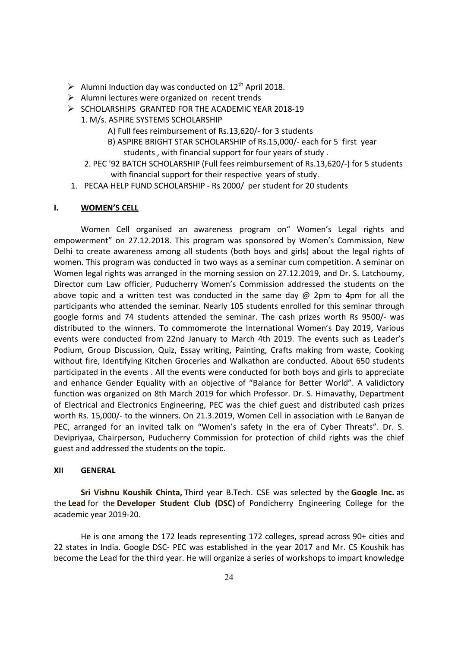- Alumni Induction day was conducted on  $12^{th}$  April 2018.
- $\triangleright$  Alumni lectures were organized on recent trends
- $\triangleright$  SCHOLARSHIPS GRANTED FOR THE ACADEMIC YEAR 2018-19
	- 1. M/s. ASPIRE SYSTEMS SCHOLARSHIP
		- A) Full fees reimbursement of Rs.13,620/- for 3 students
		- B) ASPIRE BRIGHT STAR SCHOLARSHIP of Rs.15,000/- each for 5 first year students , with financial support for four years of study .
		- 2. PEC '92 BATCH SCHOLARSHIP (Full fees reimbursement of Rs.13,620/-) for 5 students with financial support for their respective years of study.
- 1. PECAA HELP FUND SCHOLARSHIP Rs 2000/ per student for 20 students

### I. WOMEN'S CELL

Women Cell organised an awareness program on" Women's Legal rights and empowerment" on 27.12.2018. This program was sponsored by Women's Commission, New Delhi to create awareness among all students (both boys and girls) about the legal rights of women. This program was conducted in two ways as a seminar cum competition. A seminar on Women legal rights was arranged in the morning session on 27.12.2019, and Dr. S. Latchoumy, Director cum Law officier, Puducherry Women's Commission addressed the students on the above topic and a written test was conducted in the same day  $\omega$  2pm to 4pm for all the participants who attended the seminar. Nearly 105 students enrolled for this seminar through google forms and 74 students attended the seminar. The cash prizes worth Rs 9500/- was distributed to the winners. To commomerote the International Women's Day 2019, Various events were conducted from 22nd January to March 4th 2019. The events such as Leader's Podium, Group Discussion, Quiz, Essay writing, Painting, Crafts making from waste, Cooking without fire, Identifying Kitchen Groceries and Walkathon are conducted. About 650 students participated in the events . All the events were conducted for both boys and girls to appreciate and enhance Gender Equality with an objective of "Balance for Better World". A validictory function was organized on 8th March 2019 for which Professor. Dr. S. Himavathy, Department of Electrical and Electronics Engineering, PEC was the chief guest and distributed cash prizes worth Rs. 15,000/- to the winners. On 21.3.2019, Women Cell in association with Le Banyan de PEC, arranged for an invited talk on "Women's safety in the era of Cyber Threats". Dr. S. Devipriyaa, Chairperson, Puducherry Commission for protection of child rights was the chief guest and addressed the students on the topic.

#### XII GENERAL

Sri Vishnu Koushik Chinta, Third year B.Tech. CSE was selected by the Google Inc. as the Lead for the Developer Student Club (DSC) of Pondicherry Engineering College for the academic year 2019-20.

He is one among the 172 leads representing 172 colleges, spread across 90+ cities and 22 states in India. Google DSC- PEC was established in the year 2017 and Mr. CS Koushik has become the Lead for the third year. He will organize a series of workshops to impart knowledge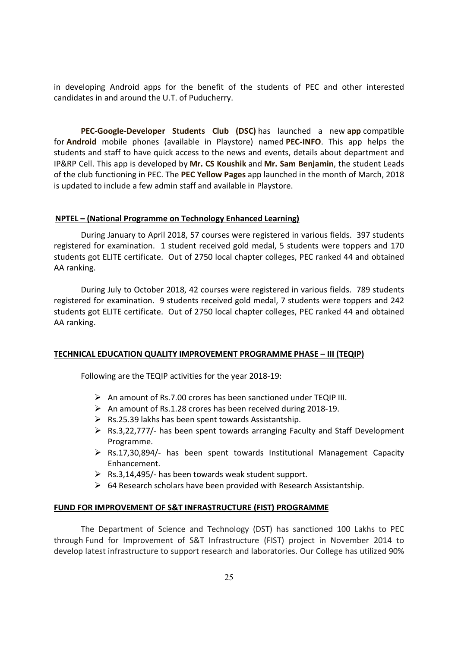in developing Android apps for the benefit of the students of PEC and other interested candidates in and around the U.T. of Puducherry.

PEC-Google-Developer Students Club (DSC) has launched a new app compatible for Android mobile phones (available in Playstore) named PEC-INFO. This app helps the students and staff to have quick access to the news and events, details about department and IP&RP Cell. This app is developed by Mr. CS Koushik and Mr. Sam Benjamin, the student Leads of the club functioning in PEC. The PEC Yellow Pages app launched in the month of March, 2018 is updated to include a few admin staff and available in Playstore.

#### NPTEL – (National Programme on Technology Enhanced Learning)

 During January to April 2018, 57 courses were registered in various fields. 397 students registered for examination. 1 student received gold medal, 5 students were toppers and 170 students got ELITE certificate. Out of 2750 local chapter colleges, PEC ranked 44 and obtained AA ranking.

During July to October 2018, 42 courses were registered in various fields. 789 students registered for examination. 9 students received gold medal, 7 students were toppers and 242 students got ELITE certificate. Out of 2750 local chapter colleges, PEC ranked 44 and obtained AA ranking.

#### TECHNICAL EDUCATION QUALITY IMPROVEMENT PROGRAMME PHASE – III (TEQIP)

Following are the TEQIP activities for the year 2018-19:

- $\triangleright$  An amount of Rs.7.00 crores has been sanctioned under TEQIP III.
- $\triangleright$  An amount of Rs.1.28 crores has been received during 2018-19.
- $\triangleright$  Rs.25.39 lakhs has been spent towards Assistantship.
- $\triangleright$  Rs.3,22,777/- has been spent towards arranging Faculty and Staff Development Programme.
- $\triangleright$  Rs.17,30,894/- has been spent towards Institutional Management Capacity Enhancement.
- $\triangleright$  Rs.3,14,495/- has been towards weak student support.
- $\triangleright$  64 Research scholars have been provided with Research Assistantship.

#### FUND FOR IMPROVEMENT OF S&T INFRASTRUCTURE (FIST) PROGRAMME

The Department of Science and Technology (DST) has sanctioned 100 Lakhs to PEC through Fund for Improvement of S&T Infrastructure (FIST) project in November 2014 to develop latest infrastructure to support research and laboratories. Our College has utilized 90%